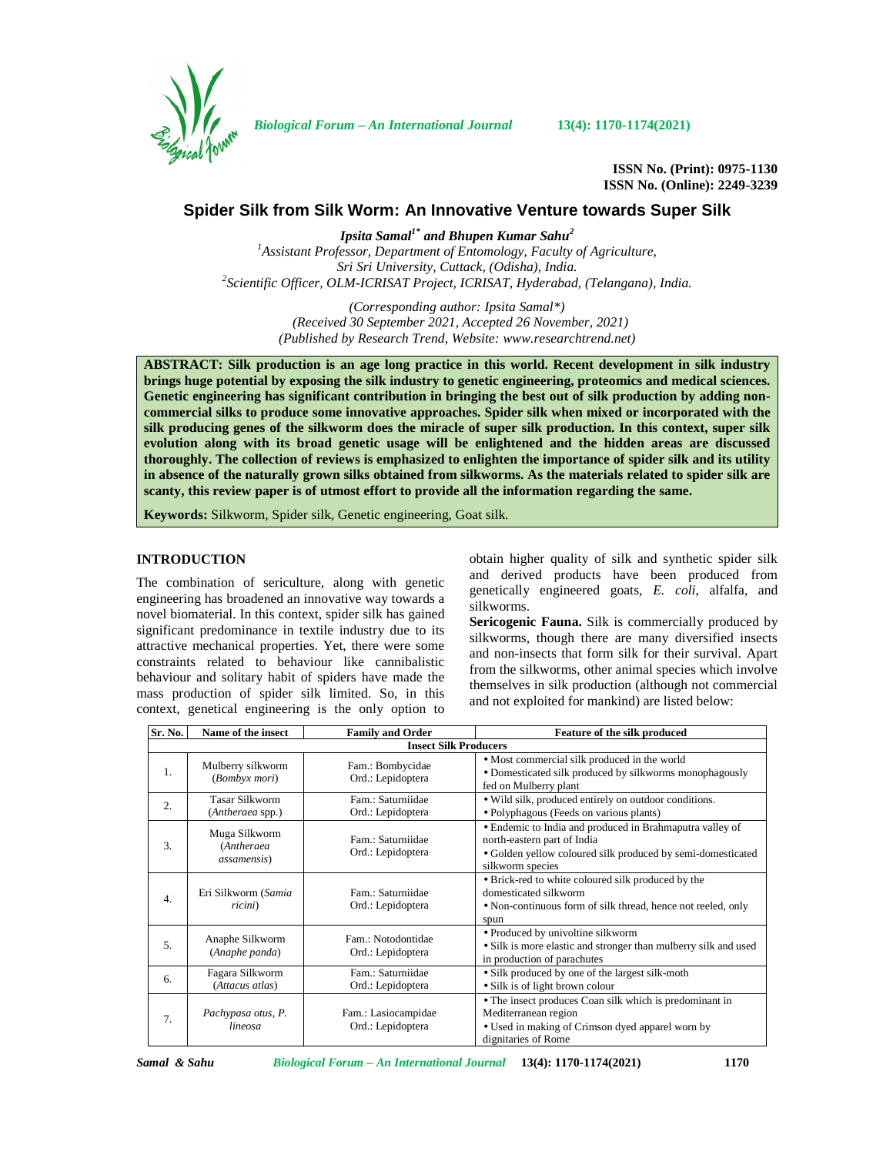

*Biological Forum – An International Journal* **13(4): 1170-1174(2021)**

**ISSN No. (Print): 0975-1130 ISSN No. (Online): 2249-3239**

# **Spider Silk from Silk Worm: An Innovative Venture towards Super Silk**

*Ipsita Samal1\* and Bhupen Kumar Sahu<sup>2</sup> <sup>1</sup>Assistant Professor, Department of Entomology, Faculty of Agriculture, Sri Sri University, Cuttack, (Odisha), India. <sup>2</sup>Scientific Officer, OLM-ICRISAT Project, ICRISAT, Hyderabad, (Telangana), India.*

> *(Corresponding author: Ipsita Samal\*) (Received 30 September 2021, Accepted 26 November, 2021) (Published by Research Trend, Website: [www.researchtrend.net\)](www.researchtrend.net)*

**ABSTRACT: Silk production is an age long practice in this world. Recent development in silk industry brings huge potential by exposing the silk industry to genetic engineering, proteomics and medical sciences. Genetic engineering has significant contribution in bringing the best out of silk production by adding non commercial silks to produce some innovative approaches. Spider silk when mixed or incorporated with the silk producing genes of the silkworm does the miracle of super silk production. In this context, super silk evolution along with its broad genetic usage will be enlightened and the hidden areas are discussed thoroughly. The collection of reviews is emphasized to enlighten the importance of spider silk and its utility in absence of the naturally grown silks obtained from silkworms. As the materials related to spider silk are scanty, this review paper is of utmost effort to provide all the information regarding the same.**

**Keywords:** Silkworm, Spider silk, Genetic engineering, Goat silk.

## **INTRODUCTION**

The combination of sericulture, along with genetic engineering has broadened an innovative way towards a novel biomaterial. In this context, spider silk has gained significant predominance in textile industry due to its attractive mechanical properties. Yet, there were some constraints related to behaviour like cannibalistic behaviour and solitary habit of spiders have made the mass production of spider silk limited. So, in this context, genetical engineering is the only option to obtain higher quality of silk and synthetic spider silk and derived products have been produced from genetically engineered goats, *E. coli*, alfalfa, and silkworms.

**Sericogenic Fauna.** Silk is commercially produced by silkworms, though there are many diversified insects and non-insects that form silk for their survival. Apart from the silkworms, other animal species which involve themselves in silk production (although not commercial and not exploited for mankind) are listed below:

| Sr. No.                      | Name of the insect                                 | <b>Family and Order</b>                  | Feature of the silk produced                                                                                                                                               |  |  |
|------------------------------|----------------------------------------------------|------------------------------------------|----------------------------------------------------------------------------------------------------------------------------------------------------------------------------|--|--|
| <b>Insect Silk Producers</b> |                                                    |                                          |                                                                                                                                                                            |  |  |
| 1.                           | Mulberry silkworm<br>(Bombyx mori)                 | Fam.: Bombycidae<br>Ord.: Lepidoptera    | • Most commercial silk produced in the world<br>• Domesticated silk produced by silkworms monophagously<br>fed on Mulberry plant                                           |  |  |
| 2.                           | <b>Tasar Silkworm</b><br>(Antheraea spp.)          | Fam.: Saturniidae<br>Ord.: Lepidoptera   | • Wild silk, produced entirely on outdoor conditions.<br>• Polyphagous (Feeds on various plants)                                                                           |  |  |
| 3.                           | Muga Silkworm<br>(Antheraea<br><i>assamensis</i> ) | Fam.: Saturniidae<br>Ord.: Lepidoptera   | • Endemic to India and produced in Brahmaputra valley of<br>north-eastern part of India<br>• Golden yellow coloured silk produced by semi-domesticated<br>silkworm species |  |  |
| $\overline{4}$ .             | Eri Silkworm (Samia<br>ricini)                     | Fam.: Saturniidae<br>Ord.: Lepidoptera   | • Brick-red to white coloured silk produced by the<br>domesticated silkworm<br>• Non-continuous form of silk thread, hence not reeled, only<br>spun                        |  |  |
| 5.                           | Anaphe Silkworm<br>(Anaphe panda)                  | Fam.: Notodontidae<br>Ord.: Lepidoptera  | • Produced by univoltine silkworm<br>• Silk is more elastic and stronger than mulberry silk and used<br>in production of parachutes                                        |  |  |
| 6.                           | Fagara Silkworm<br>(Attacus atlas)                 | Fam.: Saturniidae<br>Ord.: Lepidoptera   | • Silk produced by one of the largest silk-moth<br>• Silk is of light brown colour                                                                                         |  |  |
| 7.                           | Pachypasa otus, P.<br>lineosa                      | Fam.: Lasiocampidae<br>Ord.: Lepidoptera | • The insect produces Coan silk which is predominant in<br>Mediterranean region<br>• Used in making of Crimson dyed apparel worn by<br>dignitaries of Rome                 |  |  |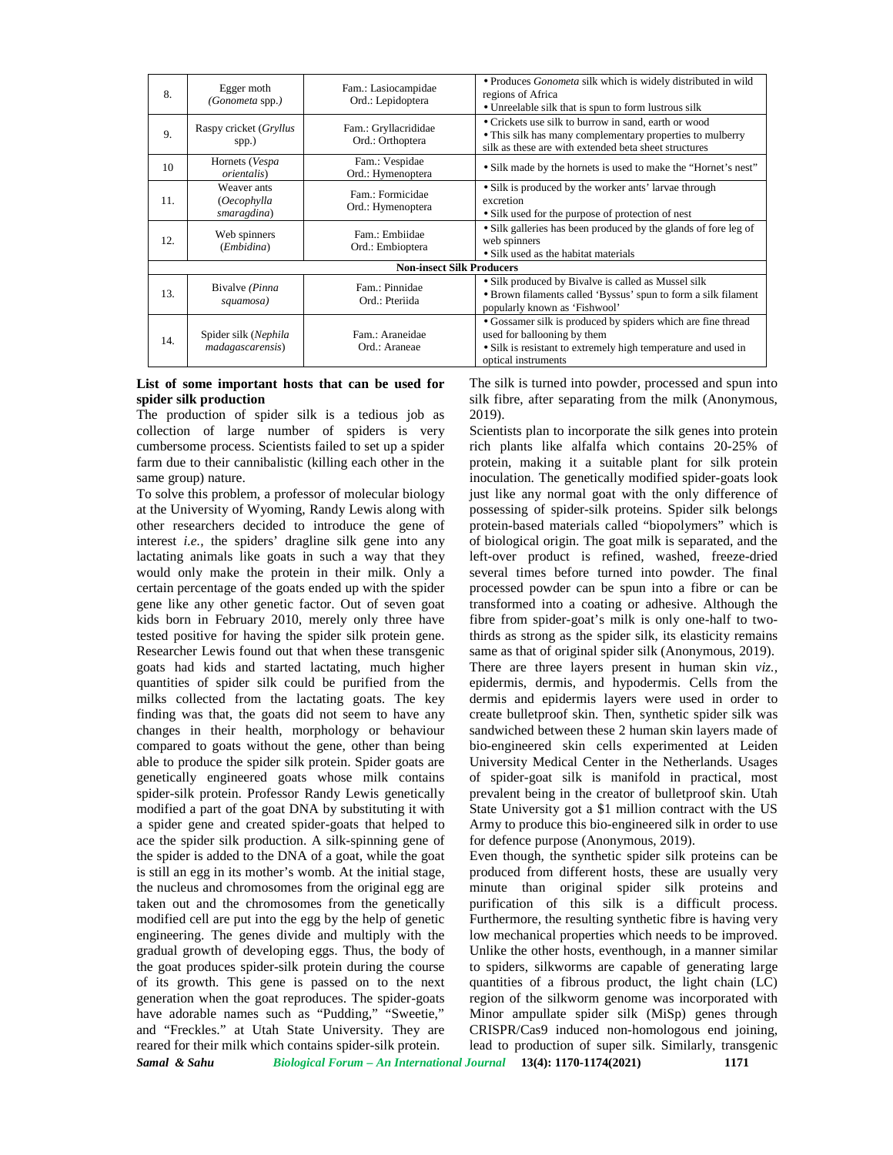| 8.                               | Egger moth<br>(Gonometa spp.)             | Fam.: Lasiocampidae<br>Ord.: Lepidoptera | · Produces Gonometa silk which is widely distributed in wild<br>regions of Africa<br>• Unreelable silk that is spun to form lustrous silk                                           |  |
|----------------------------------|-------------------------------------------|------------------------------------------|-------------------------------------------------------------------------------------------------------------------------------------------------------------------------------------|--|
| 9.                               | Raspy cricket ( <i>Gryllus</i><br>spp.)   | Fam.: Gryllacrididae<br>Ord.: Orthoptera | • Crickets use silk to burrow in sand, earth or wood<br>• This silk has many complementary properties to mulberry<br>silk as these are with extended beta sheet structures          |  |
| 10                               | Hornets (Vespa<br><i>orientalis</i> )     | Fam.: Vespidae<br>Ord.: Hymenoptera      | • Silk made by the hornets is used to make the "Hornet's nest"                                                                                                                      |  |
| 11.                              | Weaver ants<br>(Oecophylla<br>smaragdina) | Fam.: Formicidae<br>Ord.: Hymenoptera    | • Silk is produced by the worker ants' larvae through<br>excretion<br>• Silk used for the purpose of protection of nest                                                             |  |
| 12.                              | Web spinners<br>(Embidina)                | Fam.: Embiidae<br>Ord.: Embioptera       | • Silk galleries has been produced by the glands of fore leg of<br>web spinners<br>• Silk used as the habitat materials                                                             |  |
| <b>Non-insect Silk Producers</b> |                                           |                                          |                                                                                                                                                                                     |  |
| 13.                              | Bivalve (Pinna<br>squamosa)               | Fam.: Pinnidae<br>Ord.: Pteriida         | • Silk produced by Bivalve is called as Mussel silk<br>• Brown filaments called 'Byssus' spun to form a silk filament<br>popularly known as 'Fishwool'                              |  |
| 14.                              | Spider silk (Nephila<br>madagascarensis)  | Fam.: Araneidae<br>Ord.: Araneae         | • Gossamer silk is produced by spiders which are fine thread<br>used for ballooning by them<br>• Silk is resistant to extremely high temperature and used in<br>optical instruments |  |

## **List of some important hosts that can be used for spider silk production**

The production of spider silk is a tedious job as collection of large number of spiders is very cumbersome process. Scientists failed to set up a spider farm due to their cannibalistic (killing each other in the same group) nature.

*Samal & Sahu Biological Forum – An International Journal* **13(4): 1170-1174(2021) 1171** To solve this problem, a professor of molecular biology at the University of Wyoming, Randy Lewis along with other researchers decided to introduce the gene of interest *i.e.,* the spiders' dragline silk gene into any lactating animals like goats in such a way that they would only make the protein in their milk. Only a certain percentage of the goats ended up with the spider gene like any other genetic factor. Out of seven goat kids born in February 2010, merely only three have tested positive for having the spider silk protein gene. Researcher Lewis found out that when these transgenic goats had kids and started lactating, much higher quantities of spider silk could be purified from the milks collected from the lactating goats. The key finding was that, the goats did not seem to have any changes in their health, morphology or behaviour compared to goats without the gene, other than being able to produce the spider silk protein. Spider goats are genetically engineered goats whose milk contains spider-silk protein. Professor Randy Lewis genetically modified a part of the goat DNA by substituting it with a spider gene and created spider-goats that helped to ace the spider silk production. A silk-spinning gene of the spider is added to the DNA of a goat, while the goat is still an egg in its mother's womb. At the initial stage, the nucleus and chromosomes from the original egg are taken out and the chromosomes from the genetically modified cell are put into the egg by the help of genetic engineering. The genes divide and multiply with the gradual growth of developing eggs. Thus, the body of the goat produces spider-silk protein during the course of its growth. This gene is passed on to the next generation when the goat reproduces. The spider-goats have adorable names such as "Pudding," "Sweetie," and "Freckles." at Utah State University. They are reared for their milk which contains spider-silk protein.

The silk is turned into powder, processed and spun into silk fibre, after separating from the milk (Anonymous, 2019).

Scientists plan to incorporate the silk genes into protein rich plants like alfalfa which contains 20-25% of protein, making it a suitable plant for silk protein inoculation. The genetically modified spider-goats look just like any normal goat with the only difference of possessing of spider-silk proteins. Spider silk belongs protein-based materials called "biopolymers" which is of biological origin. The goat milk is separated, and the left-over product is refined, washed, freeze-dried several times before turned into powder. The final processed powder can be spun into a fibre or can be transformed into a coating or adhesive. Although the fibre from spider-goat's milk is only one-half to twothirds as strong as the spider silk, its elasticity remains same as that of original spider silk (Anonymous, 2019). There are three layers present in human skin *viz.,* epidermis, dermis, and hypodermis. Cells from the dermis and epidermis layers were used in order to create bulletproof skin. Then, synthetic spider silk was sandwiched between these 2 human skin layers made of bio-engineered skin cells experimented at Leiden University Medical Center in the Netherlands. Usages of spider-goat silk is manifold in practical, most prevalent being in the creator of bulletproof skin. Utah State University got a \$1 million contract with the US Army to produce this bio-engineered silk in order to use for defence purpose (Anonymous, 2019).

Even though, the synthetic spider silk proteins can be produced from different hosts, these are usually very minute than original spider silk proteins and purification of this silk is a difficult process. Furthermore, the resulting synthetic fibre is having very low mechanical properties which needs to be improved. Unlike the other hosts, eventhough, in a manner similar to spiders, silkworms are capable of generating large quantities of a fibrous product, the light chain (LC) region of the silkworm genome was incorporated with Minor ampullate spider silk (MiSp) genes through CRISPR/Cas9 induced non-homologous end joining, lead to production of super silk. Similarly, transgenic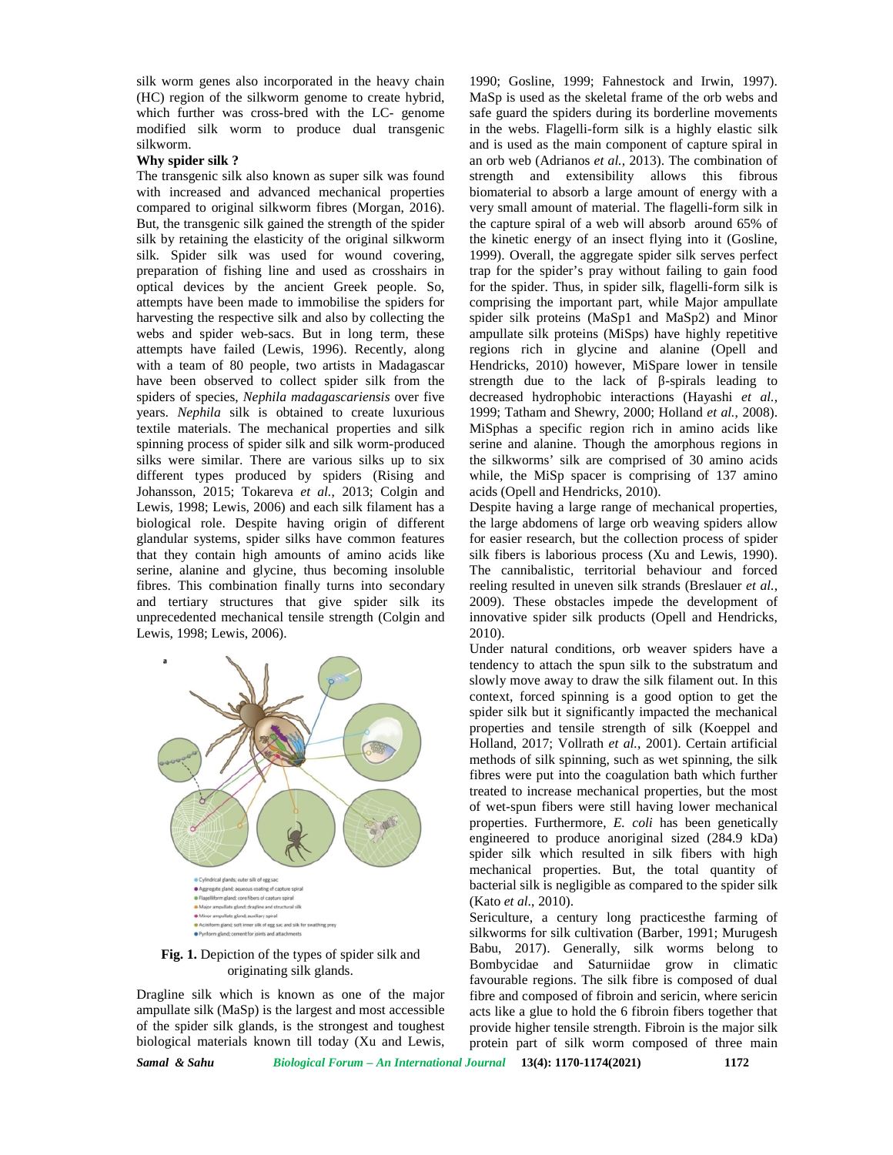silk worm genes also incorporated in the heavy chain (HC) region of the silkworm genome to create hybrid, which further was cross-bred with the LC- genome modified silk worm to produce dual transgenic silkworm.

### **Why spider silk ?**

The transgenic silk also known as super silk was found with increased and advanced mechanical properties compared to original silkworm fibres (Morgan, 2016). But, the transgenic silk gained the strength of the spider silk by retaining the elasticity of the original silkworm silk. Spider silk was used for wound covering, preparation of fishing line and used as crosshairs in optical devices by the ancient Greek people. So, attempts have been made to immobilise the spiders for harvesting the respective silk and also by collecting the webs and spider web-sacs. But in long term, these attempts have failed (Lewis, 1996). Recently, along with a team of 80 people, two artists in Madagascar have been observed to collect spider silk from the spiders of species, *Nephila madagascariensis* over five years. *Nephila* silk is obtained to create luxurious textile materials. The mechanical properties and silk spinning process of spider silk and silk worm-produced silks were similar. There are various silks up to six different types produced by spiders (Rising and Johansson, 2015; Tokareva *et al.*, 2013; Colgin and Lewis, 1998; Lewis, 2006) and each silk filament has a biological role. Despite having origin of different glandular systems, spider silks have common features that they contain high amounts of amino acids like serine, alanine and glycine, thus becoming insoluble fibres. This combination finally turns into secondary and tertiary structures that give spider silk its unprecedented mechanical tensile strength (Colgin and Lewis, 1998; Lewis, 2006).



#### **Fig. 1.** Depiction of the types of spider silk and originating silk glands.

Dragline silk which is known as one of the major ampullate silk (MaSp) is the largest and most accessible of the spider silk glands, is the strongest and toughest biological materials known till today (Xu and Lewis,

*Samal & Sahu Biological Forum – An International Journal* **13(4): 1170-1174(2021) 1172**

1990; Gosline, 1999; Fahnestock and Irwin, 1997). MaSp is used as the skeletal frame of the orb webs and safe guard the spiders during its borderline movements in the webs. Flagelli-form silk is a highly elastic silk and is used as the main component of capture spiral in an orb web (Adrianos *et al.*, 2013). The combination of strength and extensibility allows this fibrous biomaterial to absorb a large amount of energy with a very small amount of material. The flagelli-form silk in the capture spiral of a web will absorb around 65% of the kinetic energy of an insect flying into it (Gosline, 1999). Overall, the aggregate spider silk serves perfect trap for the spider's pray without failing to gain food for the spider. Thus, in spider silk, flagelli-form silk is comprising the important part, while Major ampullate spider silk proteins (MaSp1 and MaSp2) and Minor ampullate silk proteins (MiSps) have highly repetitive regions rich in glycine and alanine (Opell and Hendricks, 2010) however, MiSpare lower in tensile strength due to the lack of -spirals leading to decreased hydrophobic interactions (Hayashi *et al.*, 1999; Tatham and Shewry, 2000; Holland *et al.*, 2008). MiSphas a specific region rich in amino acids like serine and alanine. Though the amorphous regions in the silkworms' silk are comprised of 30 amino acids while, the MiSp spacer is comprising of 137 amino acids (Opell and Hendricks, 2010).

Despite having a large range of mechanical properties, the large abdomens of large orb weaving spiders allow for easier research, but the collection process of spider silk fibers is laborious process (Xu and Lewis, 1990). The cannibalistic, territorial behaviour and forced reeling resulted in uneven silk strands (Breslauer *et al.*, 2009). These obstacles impede the development of innovative spider silk products (Opell and Hendricks, 2010).

Under natural conditions, orb weaver spiders have a tendency to attach the spun silk to the substratum and slowly move away to draw the silk filament out. In this context, forced spinning is a good option to get the spider silk but it significantly impacted the mechanical properties and tensile strength of silk (Koeppel and Holland, 2017; Vollrath *et al.*, 2001). Certain artificial methods of silk spinning, such as wet spinning, the silk fibres were put into the coagulation bath which further treated to increase mechanical properties, but the most of wet-spun fibers were still having lower mechanical properties. Furthermore, *E. coli* has been genetically engineered to produce anoriginal sized (284.9 kDa) spider silk which resulted in silk fibers with high mechanical properties. But, the total quantity of bacterial silk is negligible as compared to the spider silk (Kato *et al*., 2010).

Sericulture, a century long practicesthe farming of silkworms for silk cultivation (Barber, 1991; Murugesh Babu, 2017). Generally, silk worms belong to Bombycidae and Saturniidae grow in climatic favourable regions. The silk fibre is composed of dual fibre and composed of fibroin and sericin, where sericin acts like a glue to hold the 6 fibroin fibers together that provide higher tensile strength. Fibroin is the major silk protein part of silk worm composed of three main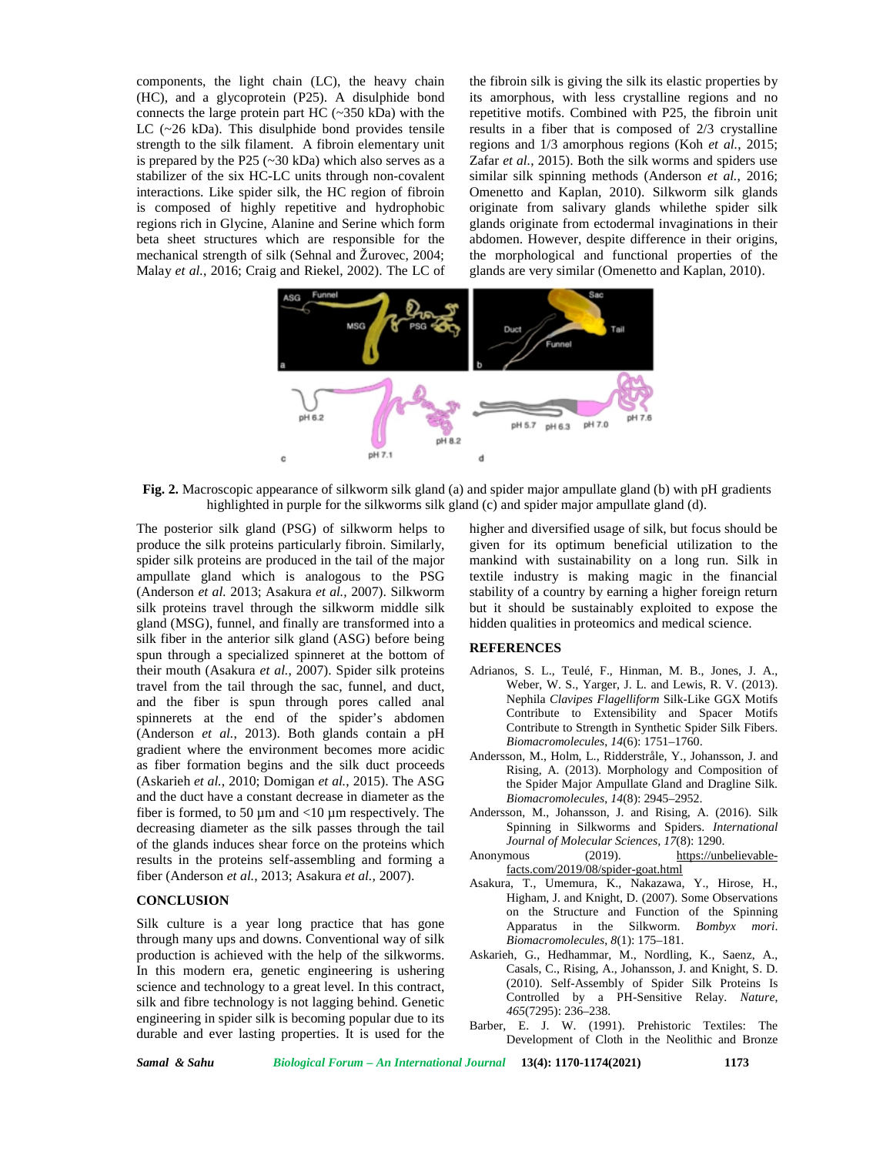components, the light chain (LC), the heavy chain (HC), and a glycoprotein (P25). A disulphide bond connects the large protein part HC (~350 kDa) with the LC (~26 kDa). This disulphide bond provides tensile strength to the silk filament. A fibroin elementary unit is prepared by the P25  $(-30 \text{ kDa})$  which also serves as a stabilizer of the six HC-LC units through non-covalent interactions. Like spider silk, the HC region of fibroin is composed of highly repetitive and hydrophobic regions rich in Glycine, Alanine and Serine which form beta sheet structures which are responsible for the mechanical strength of silk (Sehnal and Žurovec, 2004; Malay *et al.*, 2016; Craig and Riekel, 2002). The LC of

the fibroin silk is giving the silk its elastic properties by its amorphous, with less crystalline regions and no repetitive motifs. Combined with P25, the fibroin unit results in a fiber that is composed of 2/3 crystalline regions and 1/3 amorphous regions (Koh *et al.*, 2015; Zafar *et al.*, 2015). Both the silk worms and spiders use similar silk spinning methods (Anderson *et al.*, 2016; Omenetto and Kaplan, 2010). Silkworm silk glands originate from salivary glands whilethe spider silk glands originate from ectodermal invaginations in their abdomen. However, despite difference in their origins, the morphological and functional properties of the glands are very similar (Omenetto and Kaplan, 2010).



**Fig. 2.** Macroscopic appearance of silkworm silk gland (a) and spider major ampullate gland (b) with pH gradients highlighted in purple for the silkworms silk gland (c) and spider major ampullate gland (d).

The posterior silk gland (PSG) of silkworm helps to produce the silk proteins particularly fibroin. Similarly, spider silk proteins are produced in the tail of the major ampullate gland which is analogous to the PSG (Anderson *et al.* 2013; Asakura *et al.,* 2007). Silkworm silk proteins travel through the silkworm middle silk gland (MSG), funnel, and finally are transformed into a silk fiber in the anterior silk gland (ASG) before being spun through a specialized spinneret at the bottom of their mouth (Asakura *et al.*, 2007). Spider silk proteins travel from the tail through the sac, funnel, and duct, and the fiber is spun through pores called anal spinnerets at the end of the spider's abdomen (Anderson *et al.*, 2013). Both glands contain a pH gradient where the environment becomes more acidic as fiber formation begins and the silk duct proceeds (Askarieh *et al.*, 2010; Domigan *et al.*, 2015). The ASG and the duct have a constant decrease in diameter as the fiber is formed, to 50  $\mu$ m and <10  $\mu$ m respectively. The decreasing diameter as the silk passes through the tail of the glands induces shear force on the proteins which<br>results in the proteins self-assembling and forming a Anonymous results in the proteins self-assembling and forming a fiber (Anderson *et al.*, 2013; Asakura *et al.,* 2007).

### **CONCLUSION**

Silk culture is a year long practice that has gone through many ups and downs. Conventional way of silk production is achieved with the help of the silkworms. In this modern era, genetic engineering is ushering science and technology to a great level. In this contract, silk and fibre technology is not lagging behind. Genetic engineering in spider silk is becoming popular due to its durable and ever lasting properties. It is used for the higher and diversified usage of silk, but focus should be given for its optimum beneficial utilization to the mankind with sustainability on a long run. Silk in textile industry is making magic in the financial stability of a country by earning a higher foreign return but it should be sustainably exploited to expose the hidden qualities in proteomics and medical science.

## **REFERENCES**

- Adrianos, S. L., Teulé, F., Hinman, M. B., Jones, J. A., Weber, W. S., Yarger, J. L. and Lewis, R. V. (2013). Nephila *Clavipes Flagelliform* Silk-Like GGX Motifs Contribute to Extensibility and Spacer Motifs Contribute to Strength in Synthetic Spider Silk Fibers. *Biomacromolecules*, *14*(6): 1751–1760.
- Andersson, M., Holm, L., Ridderstråle, Y., Johansson, J. and Rising, A. (2013). Morphology and Composition of the Spider Major Ampullate Gland and Dragline Silk. *Biomacromolecules*, *14*(8): 2945–2952.
- Andersson, M., Johansson, J. and Rising, A. (2016). Silk Spinning in Silkworms and Spiders. *International Journal of Molecular Sciences, 17*(8): 1290.
- (2019). https://unbelievablefacts.com/2019/08/spider-goat.html
- Asakura, T., Umemura, K., Nakazawa, Y., Hirose, H., Higham, J. and Knight, D. (2007). Some Observations on the Structure and Function of the Spinning Apparatus in the Silkworm. *Bombyx mori*. *Biomacromolecules*, *8*(1): 175–181.
- Askarieh, G., Hedhammar, M., Nordling, K., Saenz, A., Casals, C., Rising, A., Johansson, J. and Knight, S. D. (2010). Self-Assembly of Spider Silk Proteins Is Controlled by a PH-Sensitive Relay. *Nature*, *465*(7295): 236–238.
- Barber, E. J. W. (1991). Prehistoric Textiles: The Development of Cloth in the Neolithic and Bronze